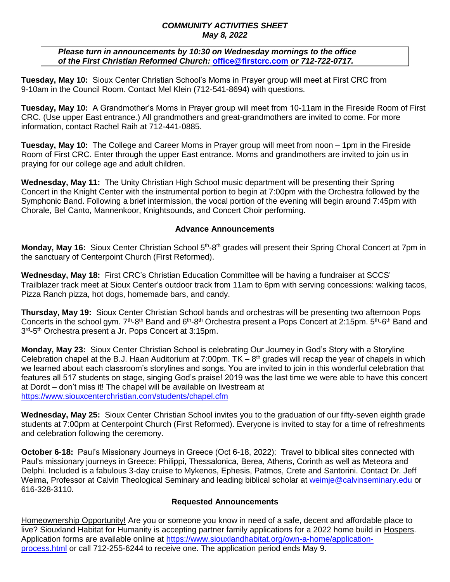## *COMMUNITY ACTIVITIES SHEET May 8, 2022*

 *Please turn in announcements by 10:30 on Wednesday mornings to the office of the First Christian Reformed Church:* **[office@firstcrc.com](mailto:office@firstcrc.com)** *or 712-722-0717.* 

**Tuesday, May 10:** Sioux Center Christian School's Moms in Prayer group will meet at First CRC from 9-10am in the Council Room. Contact Mel Klein (712-541-8694) with questions.

**Tuesday, May 10:** A Grandmother's Moms in Prayer group will meet from 10-11am in the Fireside Room of First CRC. (Use upper East entrance.) All grandmothers and great-grandmothers are invited to come. For more information, contact Rachel Raih at 712-441-0885.

**Tuesday, May 10:** The College and Career Moms in Prayer group will meet from noon – 1pm in the Fireside Room of First CRC. Enter through the upper East entrance. Moms and grandmothers are invited to join us in praying for our college age and adult children.

**Wednesday, May 11:** The Unity Christian High School music department will be presenting their Spring Concert in the Knight Center with the instrumental portion to begin at 7:00pm with the Orchestra followed by the Symphonic Band. Following a brief intermission, the vocal portion of the evening will begin around 7:45pm with Chorale, Bel Canto, Mannenkoor, Knightsounds, and Concert Choir performing.

## **Advance Announcements**

Monday, May 16: Sioux Center Christian School 5<sup>th</sup>-8<sup>th</sup> grades will present their Spring Choral Concert at 7pm in the sanctuary of Centerpoint Church (First Reformed).

**Wednesday, May 18:** First CRC's Christian Education Committee will be having a fundraiser at SCCS' Trailblazer track meet at Sioux Center's outdoor track from 11am to 6pm with serving concessions: walking tacos, Pizza Ranch pizza, hot dogs, homemade bars, and candy.

**Thursday, May 19:** Sioux Center Christian School bands and orchestras will be presenting two afternoon Pops Concerts in the school gym. 7<sup>th</sup>-8<sup>th</sup> Band and 6<sup>th</sup>-8<sup>th</sup> Orchestra present a Pops Concert at 2:15pm. 5<sup>th</sup>-6<sup>th</sup> Band and 3<sup>rd</sup>-5<sup>th</sup> Orchestra present a Jr. Pops Concert at 3:15pm.

**Monday, May 23:** Sioux Center Christian School is celebrating Our Journey in God's Story with a Storyline Celebration chapel at the B.J. Haan Auditorium at 7:00pm.  $TK - 8<sup>th</sup>$  grades will recap the year of chapels in which we learned about each classroom's storylines and songs. You are invited to join in this wonderful celebration that features all 517 students on stage, singing God's praise! 2019 was the last time we were able to have this concert at Dordt – don't miss it! The chapel will be available on livestream at <https://www.siouxcenterchristian.com/students/chapel.cfm>

**Wednesday, May 25:** Sioux Center Christian School invites you to the graduation of our fifty-seven eighth grade students at 7:00pm at Centerpoint Church (First Reformed). Everyone is invited to stay for a time of refreshments and celebration following the ceremony.

**October 6-18:** Paul's Missionary Journeys in Greece (Oct 6-18, 2022): Travel to biblical sites connected with Paul's missionary journeys in Greece: Philippi, Thessalonica, Berea, Athens, Corinth as well as Meteora and Delphi. Included is a fabulous 3-day cruise to Mykenos, Ephesis, Patmos, Crete and Santorini. Contact Dr. Jeff Weima, Professor at Calvin Theological Seminary and leading biblical scholar at [weimje@calvinseminary.edu](mailto:weimje@calvinseminary.edu) or 616-328-3110.

## **Requested Announcements**

Homeownership Opportunity! Are you or someone you know in need of a safe, decent and affordable place to live? Siouxland Habitat for Humanity is accepting partner family applications for a 2022 home build in Hospers. Application forms are available online at [https://www.siouxlandhabitat.org/own-a-home/application](https://www.siouxlandhabitat.org/own-a-home/application-process.html)[process.html](https://www.siouxlandhabitat.org/own-a-home/application-process.html) or call 712-255-6244 to receive one. The application period ends May 9.